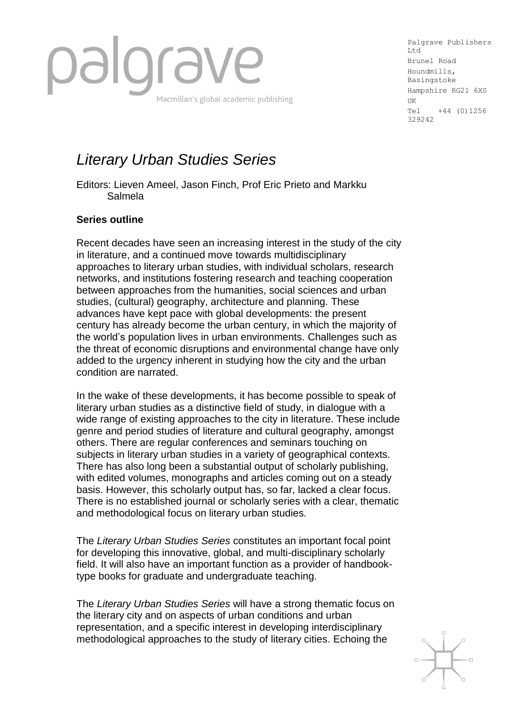

Palgrave Publishers Ltd Brunel Road Houndmills, Basingstoke Hampshire RG21 6XS UK Tel +44 (0)1256 329242

# *Literary Urban Studies Series*

Editors: Lieven Ameel, Jason Finch, Prof Eric Prieto and Markku Salmela

## **Series outline**

Recent decades have seen an increasing interest in the study of the city in literature, and a continued move towards multidisciplinary approaches to literary urban studies, with individual scholars, research networks, and institutions fostering research and teaching cooperation between approaches from the humanities, social sciences and urban studies, (cultural) geography, architecture and planning. These advances have kept pace with global developments: the present century has already become the urban century, in which the majority of the world's population lives in urban environments. Challenges such as the threat of economic disruptions and environmental change have only added to the urgency inherent in studying how the city and the urban condition are narrated.

In the wake of these developments, it has become possible to speak of literary urban studies as a distinctive field of study, in dialogue with a wide range of existing approaches to the city in literature. These include genre and period studies of literature and cultural geography, amongst others. There are regular conferences and seminars touching on subjects in literary urban studies in a variety of geographical contexts. There has also long been a substantial output of scholarly publishing, with edited volumes, monographs and articles coming out on a steady basis. However, this scholarly output has, so far, lacked a clear focus. There is no established journal or scholarly series with a clear, thematic and methodological focus on literary urban studies.

The *Literary Urban Studies Series* constitutes an important focal point for developing this innovative, global, and multi-disciplinary scholarly field. It will also have an important function as a provider of handbooktype books for graduate and undergraduate teaching.

The *Literary Urban Studies Series* will have a strong thematic focus on the literary city and on aspects of urban conditions and urban representation, and a specific interest in developing interdisciplinary methodological approaches to the study of literary cities. Echoing the

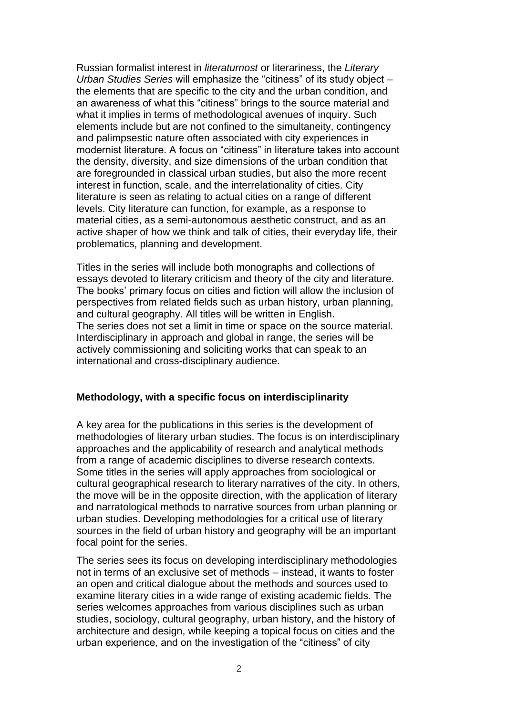Russian formalist interest in *literaturnost* or literariness, the *Literary Urban Studies Series* will emphasize the "citiness" of its study object – the elements that are specific to the city and the urban condition, and an awareness of what this "citiness" brings to the source material and what it implies in terms of methodological avenues of inquiry. Such elements include but are not confined to the simultaneity, contingency and palimpsestic nature often associated with city experiences in modernist literature. A focus on "citiness" in literature takes into account the density, diversity, and size dimensions of the urban condition that are foregrounded in classical urban studies, but also the more recent interest in function, scale, and the interrelationality of cities. City literature is seen as relating to actual cities on a range of different levels. City literature can function, for example, as a response to material cities, as a semi-autonomous aesthetic construct, and as an active shaper of how we think and talk of cities, their everyday life, their problematics, planning and development.

Titles in the series will include both monographs and collections of essays devoted to literary criticism and theory of the city and literature. The books' primary focus on cities and fiction will allow the inclusion of perspectives from related fields such as urban history, urban planning, and cultural geography. All titles will be written in English. The series does not set a limit in time or space on the source material. Interdisciplinary in approach and global in range, the series will be actively commissioning and soliciting works that can speak to an international and cross-disciplinary audience.

### **Methodology, with a specific focus on interdisciplinarity**

A key area for the publications in this series is the development of methodologies of literary urban studies. The focus is on interdisciplinary approaches and the applicability of research and analytical methods from a range of academic disciplines to diverse research contexts. Some titles in the series will apply approaches from sociological or cultural geographical research to literary narratives of the city. In others, the move will be in the opposite direction, with the application of literary and narratological methods to narrative sources from urban planning or urban studies. Developing methodologies for a critical use of literary sources in the field of urban history and geography will be an important focal point for the series.

The series sees its focus on developing interdisciplinary methodologies not in terms of an exclusive set of methods – instead, it wants to foster an open and critical dialogue about the methods and sources used to examine literary cities in a wide range of existing academic fields. The series welcomes approaches from various disciplines such as urban studies, sociology, cultural geography, urban history, and the history of architecture and design, while keeping a topical focus on cities and the urban experience, and on the investigation of the "citiness" of city